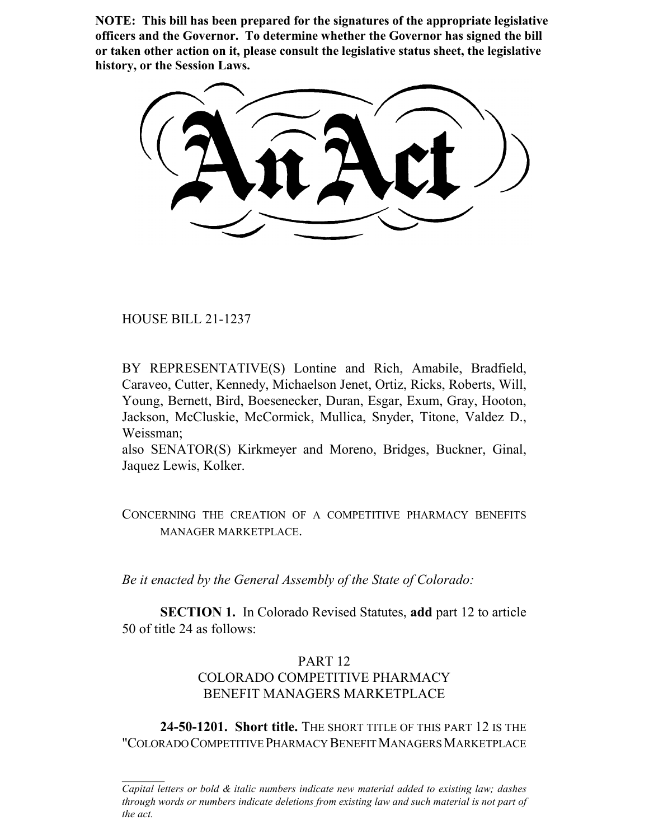**NOTE: This bill has been prepared for the signatures of the appropriate legislative officers and the Governor. To determine whether the Governor has signed the bill or taken other action on it, please consult the legislative status sheet, the legislative history, or the Session Laws.**

HOUSE BILL 21-1237

BY REPRESENTATIVE(S) Lontine and Rich, Amabile, Bradfield, Caraveo, Cutter, Kennedy, Michaelson Jenet, Ortiz, Ricks, Roberts, Will, Young, Bernett, Bird, Boesenecker, Duran, Esgar, Exum, Gray, Hooton, Jackson, McCluskie, McCormick, Mullica, Snyder, Titone, Valdez D., Weissman;

also SENATOR(S) Kirkmeyer and Moreno, Bridges, Buckner, Ginal, Jaquez Lewis, Kolker.

# CONCERNING THE CREATION OF A COMPETITIVE PHARMACY BENEFITS MANAGER MARKETPLACE.

*Be it enacted by the General Assembly of the State of Colorado:*

**SECTION 1.** In Colorado Revised Statutes, **add** part 12 to article 50 of title 24 as follows:

# PART 12 COLORADO COMPETITIVE PHARMACY BENEFIT MANAGERS MARKETPLACE

**24-50-1201. Short title.** THE SHORT TITLE OF THIS PART 12 IS THE "COLORADO COMPETITIVE PHARMACY BENEFIT MANAGERS MARKETPLACE

*Capital letters or bold & italic numbers indicate new material added to existing law; dashes through words or numbers indicate deletions from existing law and such material is not part of the act.*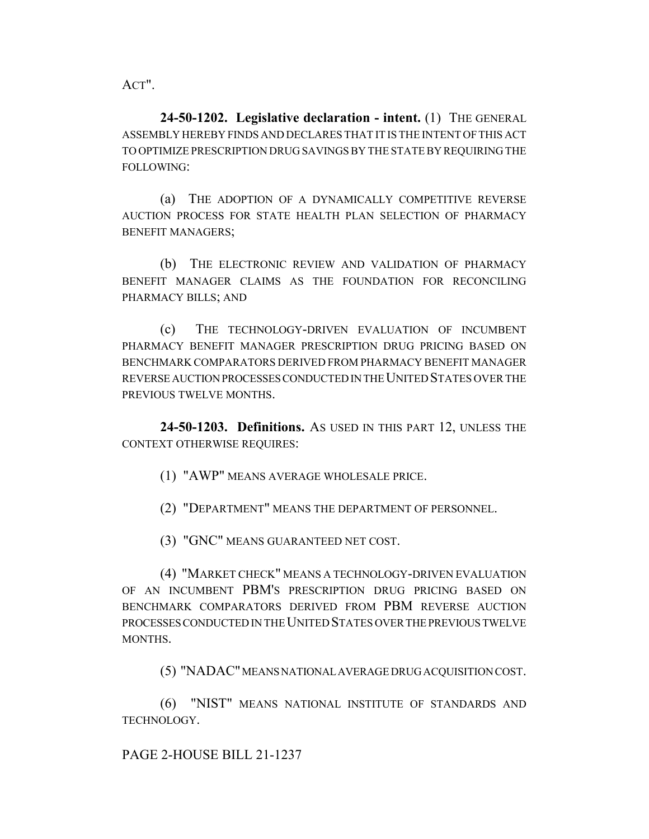ACT".

**24-50-1202. Legislative declaration - intent.** (1) THE GENERAL ASSEMBLY HEREBY FINDS AND DECLARES THAT IT IS THE INTENT OF THIS ACT TO OPTIMIZE PRESCRIPTION DRUG SAVINGS BY THE STATE BY REQUIRING THE FOLLOWING:

(a) THE ADOPTION OF A DYNAMICALLY COMPETITIVE REVERSE AUCTION PROCESS FOR STATE HEALTH PLAN SELECTION OF PHARMACY BENEFIT MANAGERS;

(b) THE ELECTRONIC REVIEW AND VALIDATION OF PHARMACY BENEFIT MANAGER CLAIMS AS THE FOUNDATION FOR RECONCILING PHARMACY BILLS; AND

(c) THE TECHNOLOGY-DRIVEN EVALUATION OF INCUMBENT PHARMACY BENEFIT MANAGER PRESCRIPTION DRUG PRICING BASED ON BENCHMARK COMPARATORS DERIVED FROM PHARMACY BENEFIT MANAGER REVERSE AUCTION PROCESSES CONDUCTED IN THE UNITED STATES OVER THE PREVIOUS TWELVE MONTHS.

**24-50-1203. Definitions.** AS USED IN THIS PART 12, UNLESS THE CONTEXT OTHERWISE REQUIRES:

(1) "AWP" MEANS AVERAGE WHOLESALE PRICE.

(2) "DEPARTMENT" MEANS THE DEPARTMENT OF PERSONNEL.

(3) "GNC" MEANS GUARANTEED NET COST.

(4) "MARKET CHECK" MEANS A TECHNOLOGY-DRIVEN EVALUATION OF AN INCUMBENT PBM'S PRESCRIPTION DRUG PRICING BASED ON BENCHMARK COMPARATORS DERIVED FROM PBM REVERSE AUCTION PROCESSES CONDUCTED IN THE UNITED STATES OVER THE PREVIOUS TWELVE MONTHS.

(5) "NADAC" MEANS NATIONAL AVERAGE DRUG ACQUISITION COST.

(6) "NIST" MEANS NATIONAL INSTITUTE OF STANDARDS AND TECHNOLOGY.

PAGE 2-HOUSE BILL 21-1237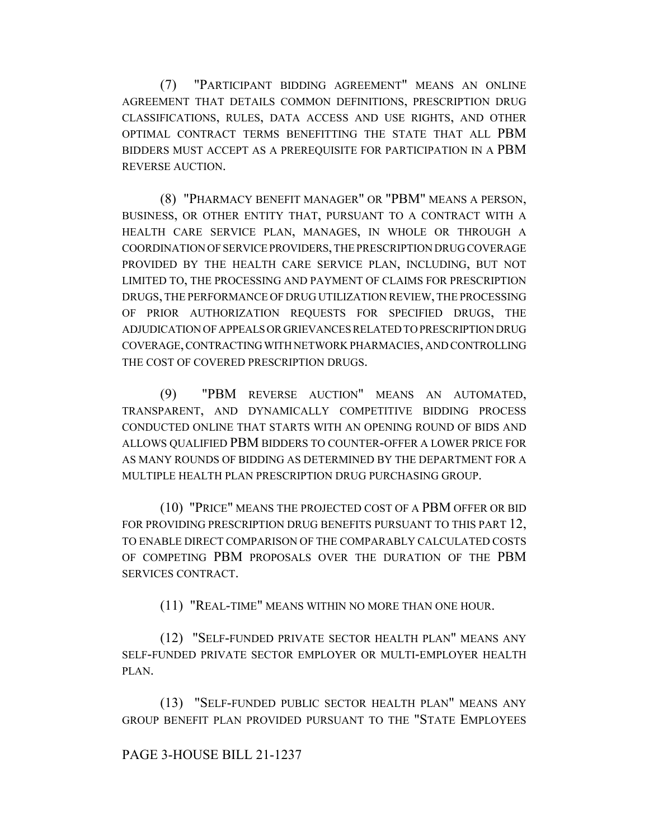(7) "PARTICIPANT BIDDING AGREEMENT" MEANS AN ONLINE AGREEMENT THAT DETAILS COMMON DEFINITIONS, PRESCRIPTION DRUG CLASSIFICATIONS, RULES, DATA ACCESS AND USE RIGHTS, AND OTHER OPTIMAL CONTRACT TERMS BENEFITTING THE STATE THAT ALL PBM BIDDERS MUST ACCEPT AS A PREREQUISITE FOR PARTICIPATION IN A PBM REVERSE AUCTION.

(8) "PHARMACY BENEFIT MANAGER" OR "PBM" MEANS A PERSON, BUSINESS, OR OTHER ENTITY THAT, PURSUANT TO A CONTRACT WITH A HEALTH CARE SERVICE PLAN, MANAGES, IN WHOLE OR THROUGH A COORDINATION OF SERVICE PROVIDERS, THE PRESCRIPTION DRUG COVERAGE PROVIDED BY THE HEALTH CARE SERVICE PLAN, INCLUDING, BUT NOT LIMITED TO, THE PROCESSING AND PAYMENT OF CLAIMS FOR PRESCRIPTION DRUGS, THE PERFORMANCE OF DRUG UTILIZATION REVIEW, THE PROCESSING OF PRIOR AUTHORIZATION REQUESTS FOR SPECIFIED DRUGS, THE ADJUDICATION OF APPEALS OR GRIEVANCES RELATED TO PRESCRIPTION DRUG COVERAGE, CONTRACTING WITH NETWORK PHARMACIES, AND CONTROLLING THE COST OF COVERED PRESCRIPTION DRUGS.

(9) "PBM REVERSE AUCTION" MEANS AN AUTOMATED, TRANSPARENT, AND DYNAMICALLY COMPETITIVE BIDDING PROCESS CONDUCTED ONLINE THAT STARTS WITH AN OPENING ROUND OF BIDS AND ALLOWS QUALIFIED PBM BIDDERS TO COUNTER-OFFER A LOWER PRICE FOR AS MANY ROUNDS OF BIDDING AS DETERMINED BY THE DEPARTMENT FOR A MULTIPLE HEALTH PLAN PRESCRIPTION DRUG PURCHASING GROUP.

(10) "PRICE" MEANS THE PROJECTED COST OF A PBM OFFER OR BID FOR PROVIDING PRESCRIPTION DRUG BENEFITS PURSUANT TO THIS PART 12, TO ENABLE DIRECT COMPARISON OF THE COMPARABLY CALCULATED COSTS OF COMPETING PBM PROPOSALS OVER THE DURATION OF THE PBM SERVICES CONTRACT.

(11) "REAL-TIME" MEANS WITHIN NO MORE THAN ONE HOUR.

(12) "SELF-FUNDED PRIVATE SECTOR HEALTH PLAN" MEANS ANY SELF-FUNDED PRIVATE SECTOR EMPLOYER OR MULTI-EMPLOYER HEALTH PLAN.

(13) "SELF-FUNDED PUBLIC SECTOR HEALTH PLAN" MEANS ANY GROUP BENEFIT PLAN PROVIDED PURSUANT TO THE "STATE EMPLOYEES

#### PAGE 3-HOUSE BILL 21-1237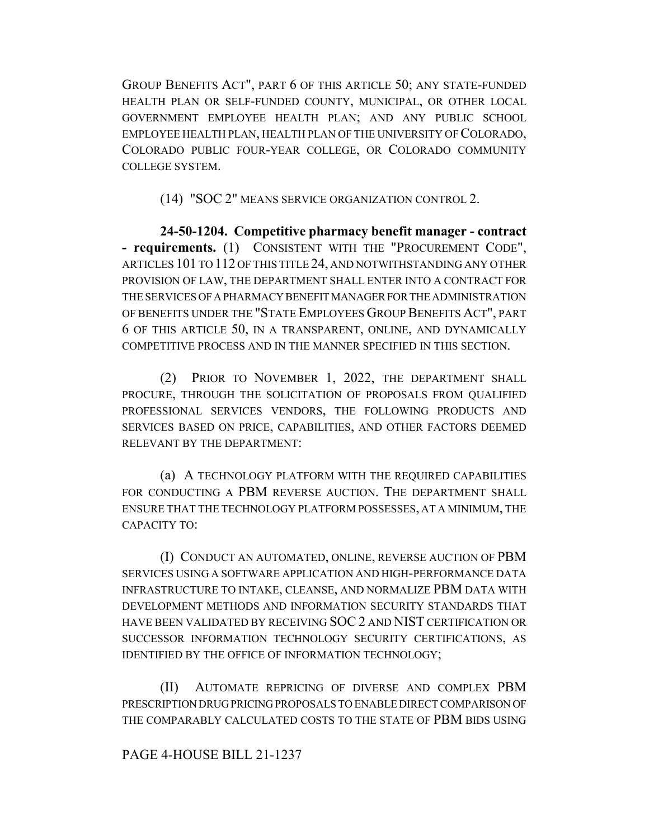GROUP BENEFITS ACT", PART 6 OF THIS ARTICLE 50; ANY STATE-FUNDED HEALTH PLAN OR SELF-FUNDED COUNTY, MUNICIPAL, OR OTHER LOCAL GOVERNMENT EMPLOYEE HEALTH PLAN; AND ANY PUBLIC SCHOOL EMPLOYEE HEALTH PLAN, HEALTH PLAN OF THE UNIVERSITY OF COLORADO, COLORADO PUBLIC FOUR-YEAR COLLEGE, OR COLORADO COMMUNITY COLLEGE SYSTEM.

(14) "SOC 2" MEANS SERVICE ORGANIZATION CONTROL 2.

**24-50-1204. Competitive pharmacy benefit manager - contract - requirements.** (1) CONSISTENT WITH THE "PROCUREMENT CODE", ARTICLES 101 TO 112 OF THIS TITLE 24, AND NOTWITHSTANDING ANY OTHER PROVISION OF LAW, THE DEPARTMENT SHALL ENTER INTO A CONTRACT FOR THE SERVICES OF A PHARMACY BENEFIT MANAGER FOR THE ADMINISTRATION OF BENEFITS UNDER THE "STATE EMPLOYEES GROUP BENEFITS ACT", PART 6 OF THIS ARTICLE 50, IN A TRANSPARENT, ONLINE, AND DYNAMICALLY COMPETITIVE PROCESS AND IN THE MANNER SPECIFIED IN THIS SECTION.

(2) PRIOR TO NOVEMBER 1, 2022, THE DEPARTMENT SHALL PROCURE, THROUGH THE SOLICITATION OF PROPOSALS FROM QUALIFIED PROFESSIONAL SERVICES VENDORS, THE FOLLOWING PRODUCTS AND SERVICES BASED ON PRICE, CAPABILITIES, AND OTHER FACTORS DEEMED RELEVANT BY THE DEPARTMENT:

(a) A TECHNOLOGY PLATFORM WITH THE REQUIRED CAPABILITIES FOR CONDUCTING A PBM REVERSE AUCTION. THE DEPARTMENT SHALL ENSURE THAT THE TECHNOLOGY PLATFORM POSSESSES, AT A MINIMUM, THE CAPACITY TO:

(I) CONDUCT AN AUTOMATED, ONLINE, REVERSE AUCTION OF PBM SERVICES USING A SOFTWARE APPLICATION AND HIGH-PERFORMANCE DATA INFRASTRUCTURE TO INTAKE, CLEANSE, AND NORMALIZE PBM DATA WITH DEVELOPMENT METHODS AND INFORMATION SECURITY STANDARDS THAT HAVE BEEN VALIDATED BY RECEIVING SOC 2 AND NIST CERTIFICATION OR SUCCESSOR INFORMATION TECHNOLOGY SECURITY CERTIFICATIONS, AS IDENTIFIED BY THE OFFICE OF INFORMATION TECHNOLOGY;

(II) AUTOMATE REPRICING OF DIVERSE AND COMPLEX PBM PRESCRIPTION DRUG PRICING PROPOSALS TO ENABLE DIRECT COMPARISON OF THE COMPARABLY CALCULATED COSTS TO THE STATE OF PBM BIDS USING

### PAGE 4-HOUSE BILL 21-1237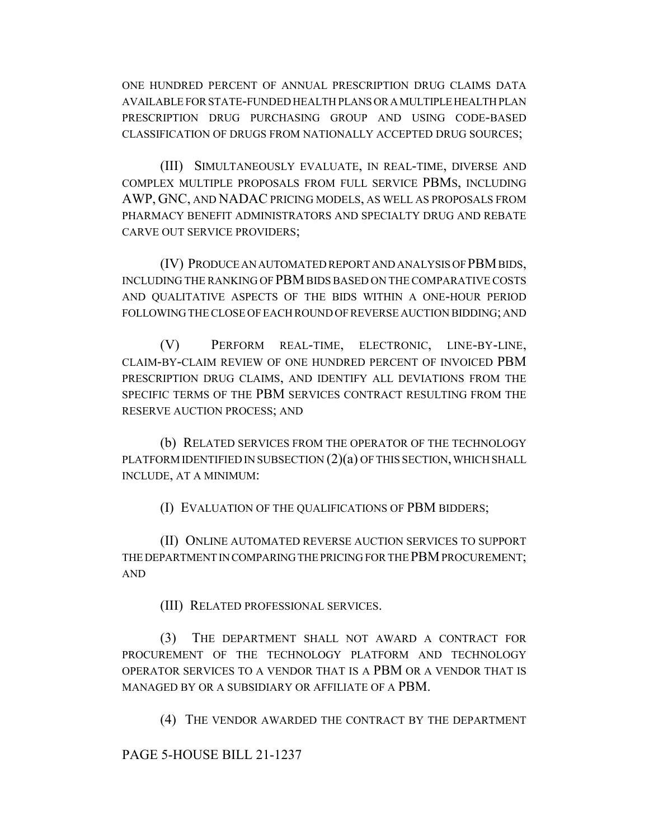ONE HUNDRED PERCENT OF ANNUAL PRESCRIPTION DRUG CLAIMS DATA AVAILABLE FOR STATE-FUNDED HEALTH PLANS OR A MULTIPLE HEALTH PLAN PRESCRIPTION DRUG PURCHASING GROUP AND USING CODE-BASED CLASSIFICATION OF DRUGS FROM NATIONALLY ACCEPTED DRUG SOURCES;

(III) SIMULTANEOUSLY EVALUATE, IN REAL-TIME, DIVERSE AND COMPLEX MULTIPLE PROPOSALS FROM FULL SERVICE PBMS, INCLUDING AWP, GNC, AND NADAC PRICING MODELS, AS WELL AS PROPOSALS FROM PHARMACY BENEFIT ADMINISTRATORS AND SPECIALTY DRUG AND REBATE CARVE OUT SERVICE PROVIDERS;

(IV) PRODUCE AN AUTOMATED REPORT AND ANALYSIS OF PBM BIDS, INCLUDING THE RANKING OF PBM BIDS BASED ON THE COMPARATIVE COSTS AND QUALITATIVE ASPECTS OF THE BIDS WITHIN A ONE-HOUR PERIOD FOLLOWING THE CLOSE OF EACH ROUND OF REVERSE AUCTION BIDDING; AND

(V) PERFORM REAL-TIME, ELECTRONIC, LINE-BY-LINE, CLAIM-BY-CLAIM REVIEW OF ONE HUNDRED PERCENT OF INVOICED PBM PRESCRIPTION DRUG CLAIMS, AND IDENTIFY ALL DEVIATIONS FROM THE SPECIFIC TERMS OF THE PBM SERVICES CONTRACT RESULTING FROM THE RESERVE AUCTION PROCESS; AND

(b) RELATED SERVICES FROM THE OPERATOR OF THE TECHNOLOGY PLATFORM IDENTIFIED IN SUBSECTION (2)(a) OF THIS SECTION, WHICH SHALL INCLUDE, AT A MINIMUM:

(I) EVALUATION OF THE QUALIFICATIONS OF PBM BIDDERS;

(II) ONLINE AUTOMATED REVERSE AUCTION SERVICES TO SUPPORT THE DEPARTMENT IN COMPARING THE PRICING FOR THE PBM PROCUREMENT; AND

(III) RELATED PROFESSIONAL SERVICES.

(3) THE DEPARTMENT SHALL NOT AWARD A CONTRACT FOR PROCUREMENT OF THE TECHNOLOGY PLATFORM AND TECHNOLOGY OPERATOR SERVICES TO A VENDOR THAT IS A PBM OR A VENDOR THAT IS MANAGED BY OR A SUBSIDIARY OR AFFILIATE OF A PBM.

(4) THE VENDOR AWARDED THE CONTRACT BY THE DEPARTMENT

PAGE 5-HOUSE BILL 21-1237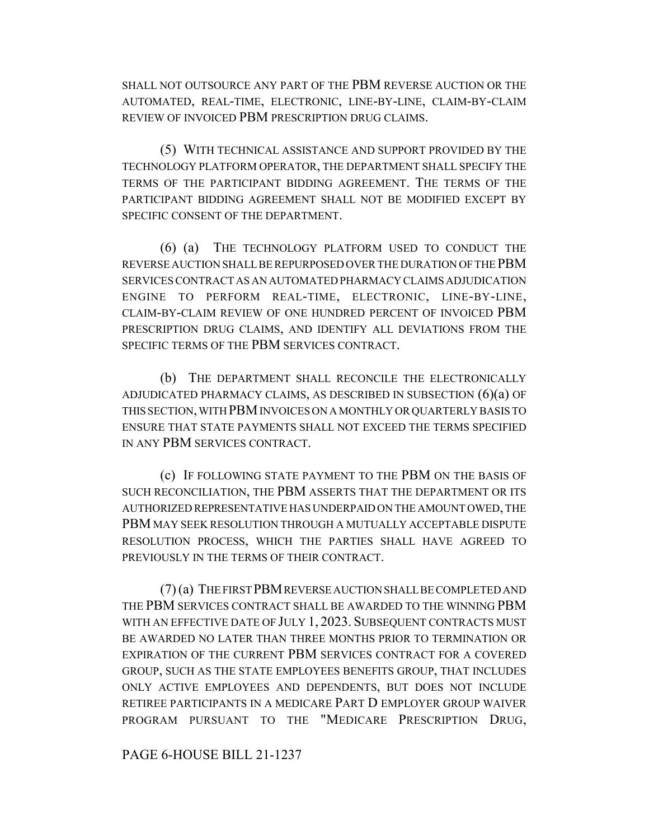SHALL NOT OUTSOURCE ANY PART OF THE PBM REVERSE AUCTION OR THE AUTOMATED, REAL-TIME, ELECTRONIC, LINE-BY-LINE, CLAIM-BY-CLAIM REVIEW OF INVOICED PBM PRESCRIPTION DRUG CLAIMS.

(5) WITH TECHNICAL ASSISTANCE AND SUPPORT PROVIDED BY THE TECHNOLOGY PLATFORM OPERATOR, THE DEPARTMENT SHALL SPECIFY THE TERMS OF THE PARTICIPANT BIDDING AGREEMENT. THE TERMS OF THE PARTICIPANT BIDDING AGREEMENT SHALL NOT BE MODIFIED EXCEPT BY SPECIFIC CONSENT OF THE DEPARTMENT.

(6) (a) THE TECHNOLOGY PLATFORM USED TO CONDUCT THE REVERSE AUCTION SHALL BE REPURPOSED OVER THE DURATION OF THE PBM SERVICES CONTRACT AS AN AUTOMATED PHARMACY CLAIMS ADJUDICATION ENGINE TO PERFORM REAL-TIME, ELECTRONIC, LINE-BY-LINE, CLAIM-BY-CLAIM REVIEW OF ONE HUNDRED PERCENT OF INVOICED PBM PRESCRIPTION DRUG CLAIMS, AND IDENTIFY ALL DEVIATIONS FROM THE SPECIFIC TERMS OF THE PBM SERVICES CONTRACT.

(b) THE DEPARTMENT SHALL RECONCILE THE ELECTRONICALLY ADJUDICATED PHARMACY CLAIMS, AS DESCRIBED IN SUBSECTION (6)(a) OF THIS SECTION, WITH PBM INVOICES ON A MONTHLY OR QUARTERLY BASIS TO ENSURE THAT STATE PAYMENTS SHALL NOT EXCEED THE TERMS SPECIFIED IN ANY PBM SERVICES CONTRACT.

(c) IF FOLLOWING STATE PAYMENT TO THE PBM ON THE BASIS OF SUCH RECONCILIATION, THE PBM ASSERTS THAT THE DEPARTMENT OR ITS AUTHORIZED REPRESENTATIVE HAS UNDERPAID ON THE AMOUNT OWED, THE PBM MAY SEEK RESOLUTION THROUGH A MUTUALLY ACCEPTABLE DISPUTE RESOLUTION PROCESS, WHICH THE PARTIES SHALL HAVE AGREED TO PREVIOUSLY IN THE TERMS OF THEIR CONTRACT.

(7) (a) THE FIRST PBM REVERSE AUCTION SHALL BE COMPLETED AND THE PBM SERVICES CONTRACT SHALL BE AWARDED TO THE WINNING PBM WITH AN EFFECTIVE DATE OF JULY 1, 2023. SUBSEQUENT CONTRACTS MUST BE AWARDED NO LATER THAN THREE MONTHS PRIOR TO TERMINATION OR EXPIRATION OF THE CURRENT PBM SERVICES CONTRACT FOR A COVERED GROUP, SUCH AS THE STATE EMPLOYEES BENEFITS GROUP, THAT INCLUDES ONLY ACTIVE EMPLOYEES AND DEPENDENTS, BUT DOES NOT INCLUDE RETIREE PARTICIPANTS IN A MEDICARE PART D EMPLOYER GROUP WAIVER PROGRAM PURSUANT TO THE "MEDICARE PRESCRIPTION DRUG,

PAGE 6-HOUSE BILL 21-1237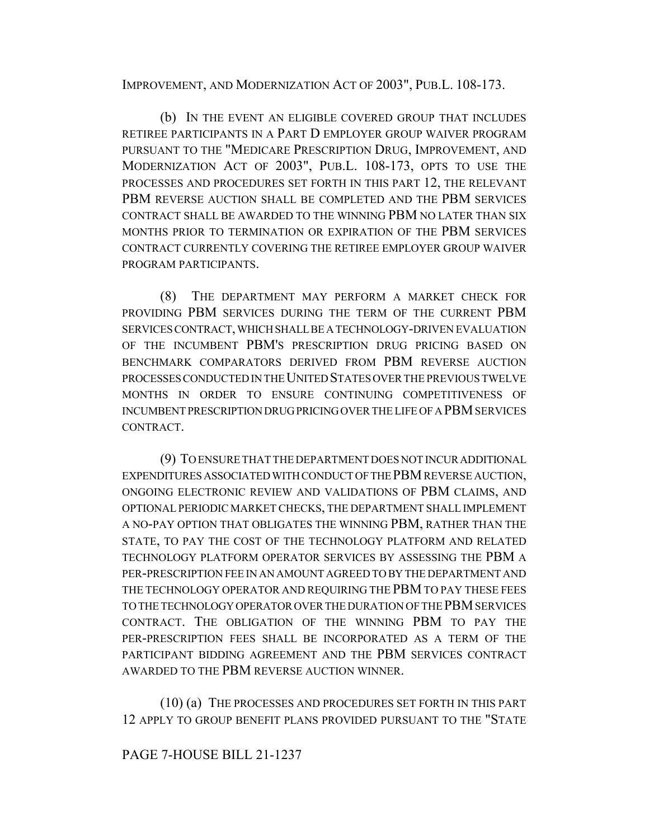IMPROVEMENT, AND MODERNIZATION ACT OF 2003", PUB.L. 108-173.

(b) IN THE EVENT AN ELIGIBLE COVERED GROUP THAT INCLUDES RETIREE PARTICIPANTS IN A PART D EMPLOYER GROUP WAIVER PROGRAM PURSUANT TO THE "MEDICARE PRESCRIPTION DRUG, IMPROVEMENT, AND MODERNIZATION ACT OF 2003", PUB.L. 108-173, OPTS TO USE THE PROCESSES AND PROCEDURES SET FORTH IN THIS PART 12, THE RELEVANT PBM REVERSE AUCTION SHALL BE COMPLETED AND THE PBM SERVICES CONTRACT SHALL BE AWARDED TO THE WINNING PBM NO LATER THAN SIX MONTHS PRIOR TO TERMINATION OR EXPIRATION OF THE PBM SERVICES CONTRACT CURRENTLY COVERING THE RETIREE EMPLOYER GROUP WAIVER PROGRAM PARTICIPANTS.

(8) THE DEPARTMENT MAY PERFORM A MARKET CHECK FOR PROVIDING PBM SERVICES DURING THE TERM OF THE CURRENT PBM SERVICES CONTRACT, WHICH SHALL BE A TECHNOLOGY-DRIVEN EVALUATION OF THE INCUMBENT PBM'S PRESCRIPTION DRUG PRICING BASED ON BENCHMARK COMPARATORS DERIVED FROM PBM REVERSE AUCTION PROCESSES CONDUCTED IN THE UNITED STATES OVER THE PREVIOUS TWELVE MONTHS IN ORDER TO ENSURE CONTINUING COMPETITIVENESS OF INCUMBENT PRESCRIPTION DRUG PRICING OVER THE LIFE OF A PBM SERVICES CONTRACT.

(9) TO ENSURE THAT THE DEPARTMENT DOES NOT INCUR ADDITIONAL EXPENDITURES ASSOCIATED WITH CONDUCT OF THE PBM REVERSE AUCTION, ONGOING ELECTRONIC REVIEW AND VALIDATIONS OF PBM CLAIMS, AND OPTIONAL PERIODIC MARKET CHECKS, THE DEPARTMENT SHALL IMPLEMENT A NO-PAY OPTION THAT OBLIGATES THE WINNING PBM, RATHER THAN THE STATE, TO PAY THE COST OF THE TECHNOLOGY PLATFORM AND RELATED TECHNOLOGY PLATFORM OPERATOR SERVICES BY ASSESSING THE PBM A PER-PRESCRIPTION FEE IN AN AMOUNT AGREED TO BY THE DEPARTMENT AND THE TECHNOLOGY OPERATOR AND REQUIRING THE PBM TO PAY THESE FEES TO THE TECHNOLOGY OPERATOR OVER THE DURATION OF THE PBM SERVICES CONTRACT. THE OBLIGATION OF THE WINNING PBM TO PAY THE PER-PRESCRIPTION FEES SHALL BE INCORPORATED AS A TERM OF THE PARTICIPANT BIDDING AGREEMENT AND THE PBM SERVICES CONTRACT AWARDED TO THE PBM REVERSE AUCTION WINNER.

(10) (a) THE PROCESSES AND PROCEDURES SET FORTH IN THIS PART 12 APPLY TO GROUP BENEFIT PLANS PROVIDED PURSUANT TO THE "STATE

PAGE 7-HOUSE BILL 21-1237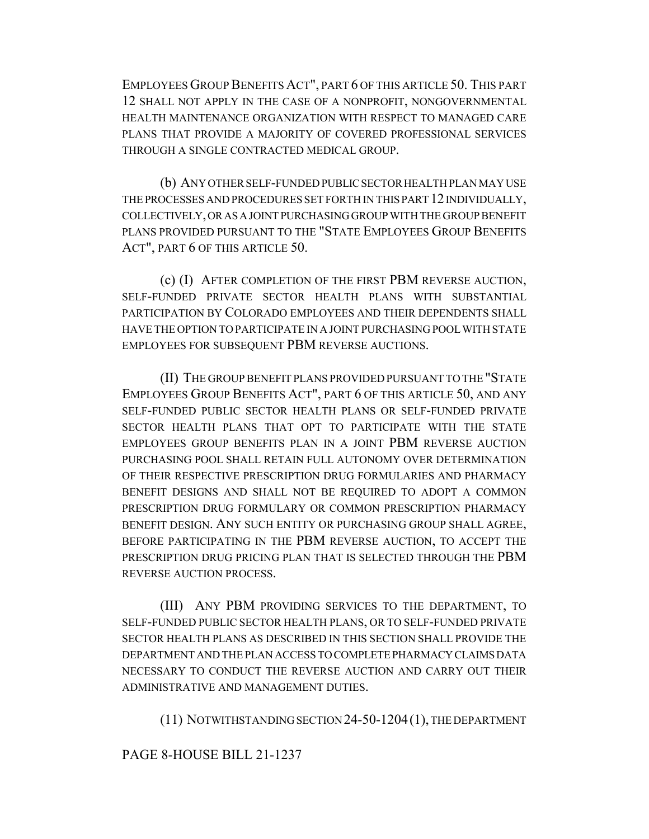EMPLOYEES GROUP BENEFITS ACT", PART 6 OF THIS ARTICLE 50. THIS PART 12 SHALL NOT APPLY IN THE CASE OF A NONPROFIT, NONGOVERNMENTAL HEALTH MAINTENANCE ORGANIZATION WITH RESPECT TO MANAGED CARE PLANS THAT PROVIDE A MAJORITY OF COVERED PROFESSIONAL SERVICES THROUGH A SINGLE CONTRACTED MEDICAL GROUP.

(b) ANY OTHER SELF-FUNDED PUBLIC SECTOR HEALTH PLAN MAY USE THE PROCESSES AND PROCEDURES SET FORTH IN THIS PART 12 INDIVIDUALLY, COLLECTIVELY, OR AS A JOINT PURCHASING GROUP WITH THE GROUP BENEFIT PLANS PROVIDED PURSUANT TO THE "STATE EMPLOYEES GROUP BENEFITS ACT", PART 6 OF THIS ARTICLE 50.

(c) (I) AFTER COMPLETION OF THE FIRST PBM REVERSE AUCTION, SELF-FUNDED PRIVATE SECTOR HEALTH PLANS WITH SUBSTANTIAL PARTICIPATION BY COLORADO EMPLOYEES AND THEIR DEPENDENTS SHALL HAVE THE OPTION TO PARTICIPATE IN A JOINT PURCHASING POOL WITH STATE EMPLOYEES FOR SUBSEQUENT PBM REVERSE AUCTIONS.

(II) THE GROUP BENEFIT PLANS PROVIDED PURSUANT TO THE "STATE EMPLOYEES GROUP BENEFITS ACT", PART 6 OF THIS ARTICLE 50, AND ANY SELF-FUNDED PUBLIC SECTOR HEALTH PLANS OR SELF-FUNDED PRIVATE SECTOR HEALTH PLANS THAT OPT TO PARTICIPATE WITH THE STATE EMPLOYEES GROUP BENEFITS PLAN IN A JOINT PBM REVERSE AUCTION PURCHASING POOL SHALL RETAIN FULL AUTONOMY OVER DETERMINATION OF THEIR RESPECTIVE PRESCRIPTION DRUG FORMULARIES AND PHARMACY BENEFIT DESIGNS AND SHALL NOT BE REQUIRED TO ADOPT A COMMON PRESCRIPTION DRUG FORMULARY OR COMMON PRESCRIPTION PHARMACY BENEFIT DESIGN. ANY SUCH ENTITY OR PURCHASING GROUP SHALL AGREE, BEFORE PARTICIPATING IN THE PBM REVERSE AUCTION, TO ACCEPT THE PRESCRIPTION DRUG PRICING PLAN THAT IS SELECTED THROUGH THE PBM REVERSE AUCTION PROCESS.

(III) ANY PBM PROVIDING SERVICES TO THE DEPARTMENT, TO SELF-FUNDED PUBLIC SECTOR HEALTH PLANS, OR TO SELF-FUNDED PRIVATE SECTOR HEALTH PLANS AS DESCRIBED IN THIS SECTION SHALL PROVIDE THE DEPARTMENT AND THE PLAN ACCESS TO COMPLETE PHARMACY CLAIMS DATA NECESSARY TO CONDUCT THE REVERSE AUCTION AND CARRY OUT THEIR ADMINISTRATIVE AND MANAGEMENT DUTIES.

(11) NOTWITHSTANDING SECTION 24-50-1204(1), THE DEPARTMENT

### PAGE 8-HOUSE BILL 21-1237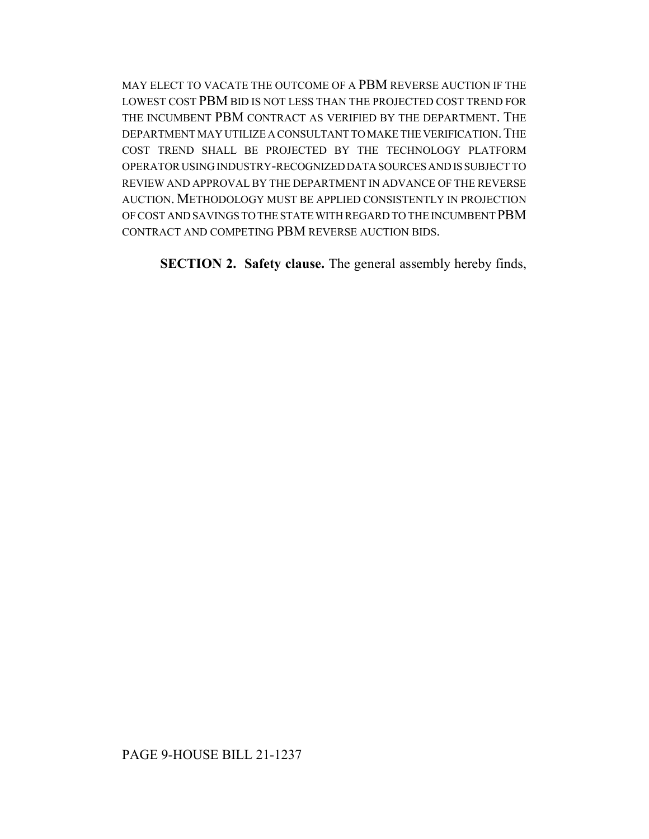MAY ELECT TO VACATE THE OUTCOME OF A PBM REVERSE AUCTION IF THE LOWEST COST PBM BID IS NOT LESS THAN THE PROJECTED COST TREND FOR THE INCUMBENT PBM CONTRACT AS VERIFIED BY THE DEPARTMENT. THE DEPARTMENT MAY UTILIZE A CONSULTANT TO MAKE THE VERIFICATION.THE COST TREND SHALL BE PROJECTED BY THE TECHNOLOGY PLATFORM OPERATOR USING INDUSTRY-RECOGNIZED DATA SOURCES AND IS SUBJECT TO REVIEW AND APPROVAL BY THE DEPARTMENT IN ADVANCE OF THE REVERSE AUCTION. METHODOLOGY MUST BE APPLIED CONSISTENTLY IN PROJECTION OF COST AND SAVINGS TO THE STATE WITH REGARD TO THE INCUMBENT PBM CONTRACT AND COMPETING PBM REVERSE AUCTION BIDS.

**SECTION 2. Safety clause.** The general assembly hereby finds,

# PAGE 9-HOUSE BILL 21-1237